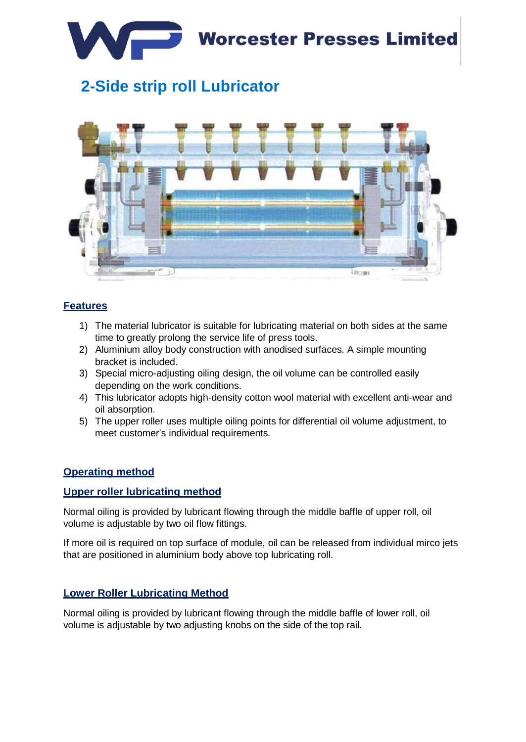

# **2-Side strip roll Lubricator**



#### **Features**

- 1) The material lubricator is suitable for lubricating material on both sides at the same time to greatly prolong the service life of press tools.
- 2) Aluminium alloy body construction with anodised surfaces. A simple mounting bracket is included.
- 3) Special micro-adjusting oiling design, the oil volume can be controlled easily depending on the work conditions.
- 4) This lubricator adopts high-density cotton wool material with excellent anti-wear and oil absorption.
- 5) The upper roller uses multiple oiling points for differential oil volume adjustment, to meet customer's individual requirements.

### **Operating method**

#### **Upper roller lubricating method**

Normal oiling is provided by lubricant flowing through the middle baffle of upper roll, oil volume is adjustable by two oil flow fittings.

If more oil is required on top surface of module, oil can be released from individual mirco jets that are positioned in aluminium body above top lubricating roll.

#### **Lower Roller Lubricating Method**

Normal oiling is provided by lubricant flowing through the middle baffle of lower roll, oil volume is adjustable by two adjusting knobs on the side of the top rail.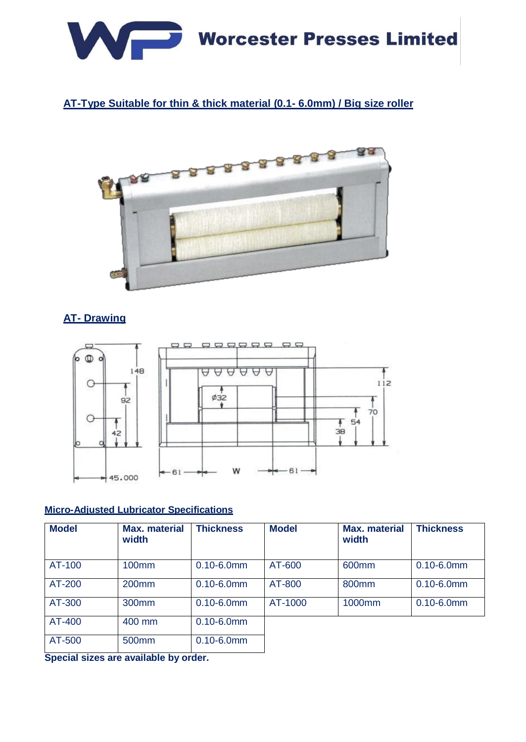

## **AT-Type Suitable for thin & thick material (0.1- 6.0mm) / Big size roller**



## **AT- Drawing**



#### **Micro-Adjusted Lubricator Specifications**

| <b>Model</b> | <b>Max. material</b><br>width | <b>Thickness</b> | <b>Model</b> | <b>Max.</b> material<br>width | <b>Thickness</b> |
|--------------|-------------------------------|------------------|--------------|-------------------------------|------------------|
| AT-100       | 100 <sub>mm</sub>             | $0.10 - 6.0$ mm  | AT-600       | 600mm                         | $0.10 - 6.0$ mm  |
| AT-200       | 200mm                         | $0.10 - 6.0$ mm  | AT-800       | 800 <sub>mm</sub>             | $0.10 - 6.0$ mm  |
| AT-300       | 300 <sub>mm</sub>             | $0.10 - 6.0$ mm  | AT-1000      | 1000mm                        | $0.10 - 6.0$ mm  |
| AT-400       | 400 mm                        | $0.10 - 6.0$ mm  |              |                               |                  |
| AT-500       | 500 <sub>mm</sub>             | $0.10 - 6.0$ mm  |              |                               |                  |

**Special sizes are available by order.**